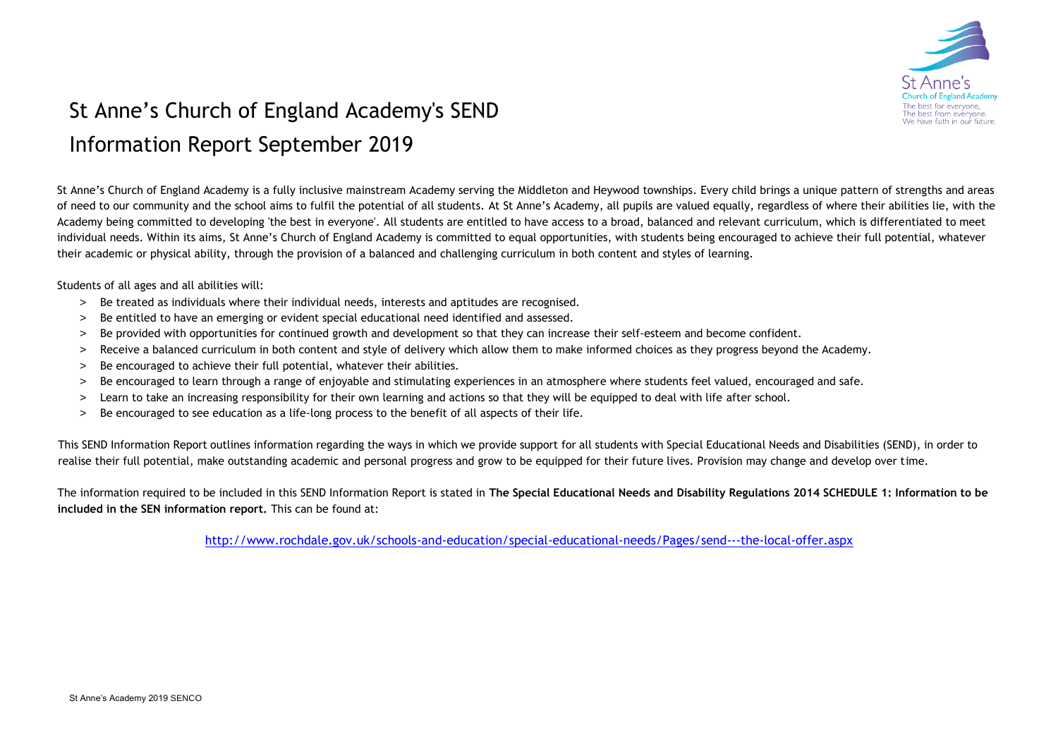

## St Anne's Church of England Academy's SEND Information Report September 2019

St Anne's Church of England Academy is a fully inclusive mainstream Academy serving the Middleton and Heywood townships. Every child brings a unique pattern of strengths and areas of need to our community and the school aims to fulfil the potential of all students. At St Anne's Academy, all pupils are valued equally, regardless of where their abilities lie, with the Academy being committed to developing 'the best in everyone'. All students are entitled to have access to a broad, balanced and relevant curriculum, which is differentiated to meet individual needs. Within its aims, St Anne's Church of England Academy is committed to equal opportunities, with students being encouraged to achieve their full potential, whatever their academic or physical ability, through the provision of a balanced and challenging curriculum in both content and styles of learning.

Students of all ages and all abilities will:

- > Be treated as individuals where their individual needs, interests and aptitudes are recognised.
- > Be entitled to have an emerging or evident special educational need identified and assessed.
- > Be provided with opportunities for continued growth and development so that they can increase their self-esteem and become confident.
- > Receive a balanced curriculum in both content and style of delivery which allow them to make informed choices as they progress beyond the Academy.
- > Be encouraged to achieve their full potential, whatever their abilities.
- > Be encouraged to learn through a range of enjoyable and stimulating experiences in an atmosphere where students feel valued, encouraged and safe.
- > Learn to take an increasing responsibility for their own learning and actions so that they will be equipped to deal with life after school.
- > Be encouraged to see education as a life-long process to the benefit of all aspects of their life.

This SEND Information Report outlines information regarding the ways in which we provide support for all students with Special Educational Needs and Disabilities (SEND), in order to realise their full potential, make outstanding academic and personal progress and grow to be equipped for their future lives. Provision may change and develop over time.

The information required to be included in this SEND Information Report is stated in **The Special Educational Needs and Disability Regulations 2014 SCHEDULE 1: Information to be included in the SEN information report.** This can be found at:

<http://www.rochdale.gov.uk/schools-and-education/special-educational-needs/Pages/send---the-local-offer.aspx>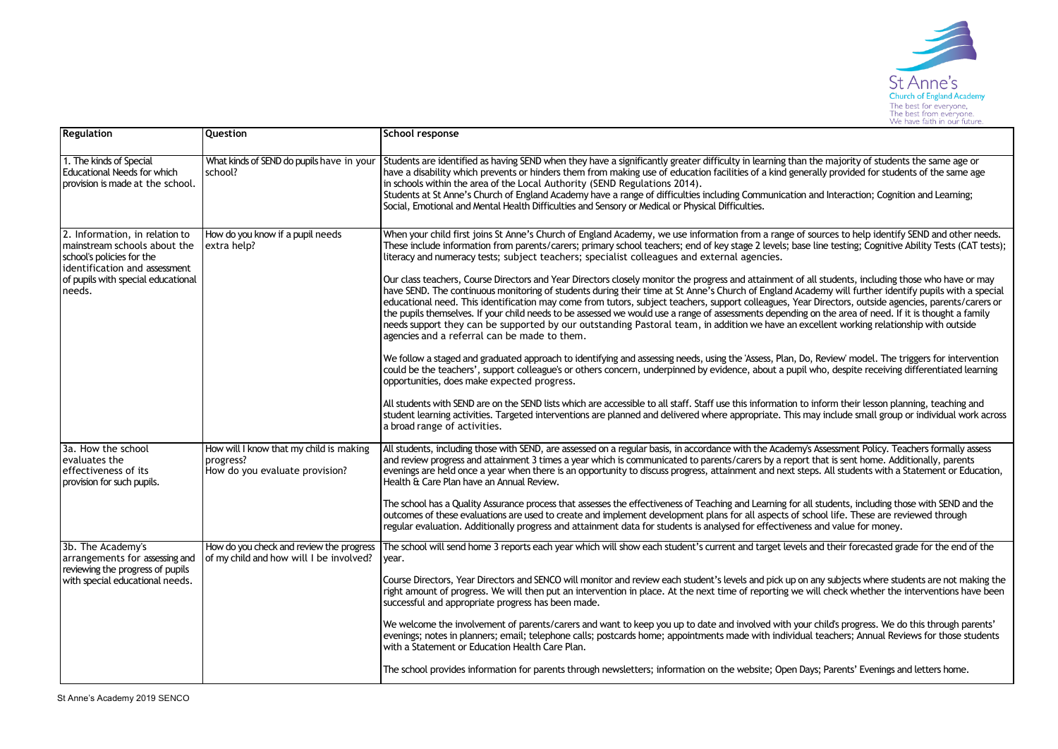

| <b>Regulation</b>                                                                                                                                                            | Question                                                                               | School response                                                                                                                                                                                                                                                                                                                                                                                                                                                                                                                                                                                                                                                                                                                                                                                                              |  |  |  |
|------------------------------------------------------------------------------------------------------------------------------------------------------------------------------|----------------------------------------------------------------------------------------|------------------------------------------------------------------------------------------------------------------------------------------------------------------------------------------------------------------------------------------------------------------------------------------------------------------------------------------------------------------------------------------------------------------------------------------------------------------------------------------------------------------------------------------------------------------------------------------------------------------------------------------------------------------------------------------------------------------------------------------------------------------------------------------------------------------------------|--|--|--|
| 1. The kinds of Special<br><b>Educational Needs for which</b><br>provision is made at the school.                                                                            | What kinds of SEND do pupils have in your<br>school?                                   | Students are identified as having SEND when they have a significantly greater difficulty in learning than the majority of students the same age or<br>have a disability which prevents or hinders them from making use of education facilities of a kind generally provided for students of the same age<br>in schools within the area of the Local Authority (SEND Regulations 2014).<br>Students at St Anne's Church of England Academy have a range of difficulties including Communication and Interaction; Cognition and Learning;<br>Social, Emotional and Mental Health Difficulties and Sensory or Medical or Physical Difficulties.                                                                                                                                                                                 |  |  |  |
| 2. Information, in relation to<br>mainstream schools about the<br>school's policies for the<br>identification and assessment<br>of pupils with special educational<br>needs. | How do you know if a pupil needs<br>extra help?                                        | When your child first joins St Anne's Church of England Academy, we use information from a range of sources to help identify SEND and other needs.<br>These include information from parents/carers; primary school teachers; end of key stage 2 levels; base line testing; Cognitive Ability Tests (CAT tests);<br>literacy and numeracy tests; subject teachers; specialist colleagues and external agencies.                                                                                                                                                                                                                                                                                                                                                                                                              |  |  |  |
|                                                                                                                                                                              |                                                                                        | Our class teachers, Course Directors and Year Directors closely monitor the progress and attainment of all students, including those who have or may<br>have SEND. The continuous monitoring of students during their time at St Anne's Church of England Academy will further identify pupils with a special<br>educational need. This identification may come from tutors, subject teachers, support colleagues, Year Directors, outside agencies, parents/carers or<br>the pupils themselves. If your child needs to be assessed we would use a range of assessments depending on the area of need. If it is thought a family<br>needs support they can be supported by our outstanding Pastoral team, in addition we have an excellent working relationship with outside<br>agencies and a referral can be made to them. |  |  |  |
|                                                                                                                                                                              |                                                                                        | We follow a staged and graduated approach to identifying and assessing needs, using the 'Assess, Plan, Do, Review' model. The triggers for intervention<br>could be the teachers', support colleague's or others concern, underpinned by evidence, about a pupil who, despite receiving differentiated learning<br>opportunities, does make expected progress.                                                                                                                                                                                                                                                                                                                                                                                                                                                               |  |  |  |
|                                                                                                                                                                              |                                                                                        | All students with SEND are on the SEND lists which are accessible to all staff. Staff use this information to inform their lesson planning, teaching and<br>student learning activities. Targeted interventions are planned and delivered where appropriate. This may include small group or individual work across<br>a broad range of activities.                                                                                                                                                                                                                                                                                                                                                                                                                                                                          |  |  |  |
| 3a. How the school<br>evaluates the<br>effectiveness of its<br>provision for such pupils.                                                                                    | How will I know that my child is making<br>progress?<br>How do you evaluate provision? | All students, including those with SEND, are assessed on a regular basis, in accordance with the Academy's Assessment Policy. Teachers formally assess<br>and review progress and attainment 3 times a year which is communicated to parents/carers by a report that is sent home. Additionally, parents<br>evenings are held once a year when there is an opportunity to discuss progress, attainment and next steps. All students with a Statement or Education,<br>Health & Care Plan have an Annual Review.                                                                                                                                                                                                                                                                                                              |  |  |  |
|                                                                                                                                                                              |                                                                                        | The school has a Quality Assurance process that assesses the effectiveness of Teaching and Learning for all students, including those with SEND and the<br>outcomes of these evaluations are used to create and implement development plans for all aspects of school life. These are reviewed through<br>regular evaluation. Additionally progress and attainment data for students is analysed for effectiveness and value for money.                                                                                                                                                                                                                                                                                                                                                                                      |  |  |  |
| 3b. The Academy's<br>arrangements for assessing and                                                                                                                          | How do you check and review the progress<br>of my child and how will I be involved?    | The school will send home 3 reports each year which will show each student's current and target levels and their forecasted grade for the end of the<br>year.                                                                                                                                                                                                                                                                                                                                                                                                                                                                                                                                                                                                                                                                |  |  |  |
| reviewing the progress of pupils<br>with special educational needs.                                                                                                          |                                                                                        | Course Directors, Year Directors and SENCO will monitor and review each student's levels and pick up on any subjects where students are not making the<br>right amount of progress. We will then put an intervention in place. At the next time of reporting we will check whether the interventions have been<br>successful and appropriate progress has been made.                                                                                                                                                                                                                                                                                                                                                                                                                                                         |  |  |  |
|                                                                                                                                                                              |                                                                                        | We welcome the involvement of parents/carers and want to keep you up to date and involved with your child's progress. We do this through parents'<br>evenings; notes in planners; email; telephone calls; postcards home; appointments made with individual teachers; Annual Reviews for those students<br>with a Statement or Education Health Care Plan.                                                                                                                                                                                                                                                                                                                                                                                                                                                                   |  |  |  |
|                                                                                                                                                                              |                                                                                        | The school provides information for parents through newsletters; information on the website; Open Days; Parents' Evenings and letters home.                                                                                                                                                                                                                                                                                                                                                                                                                                                                                                                                                                                                                                                                                  |  |  |  |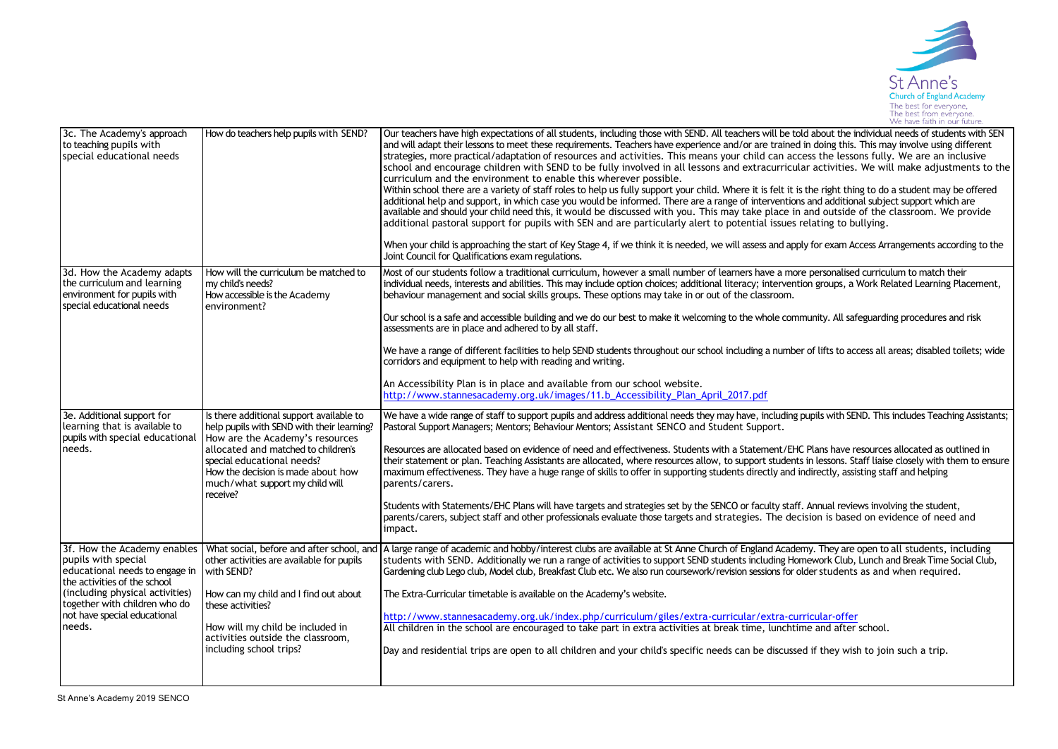

| 3c. The Academy's approach<br>to teaching pupils with<br>special educational needs                                                                                                                                                 | How do teachers help pupils with SEND?                                                                                                                                                                                                                                              | Our teachers have high expectations of all students, including those with SEND. All teachers will be told about the individual needs of students with SEN<br>and will adapt their lessons to meet these requirements. Teachers have experience and/or are trained in doing this. This may involve using different<br>strategies, more practical/adaptation of resources and activities. This means your child can access the lessons fully. We are an inclusive<br>school and encourage children with SEND to be fully involved in all lessons and extracurricular activities. We will make adjustments to the<br>curriculum and the environment to enable this wherever possible.<br>Within school there are a variety of staff roles to help us fully support your child. Where it is felt it is the right thing to do a student may be offered<br>additional help and support, in which case you would be informed. There are a range of interventions and additional subject support which are<br>available and should your child need this, it would be discussed with you. This may take place in and outside of the classroom. We provide<br>additional pastoral support for pupils with SEN and are particularly alert to potential issues relating to bullying.<br>When your child is approaching the start of Key Stage 4, if we think it is needed, we will assess and apply for exam Access Arrangements according to the<br>Joint Council for Qualifications exam regulations. |
|------------------------------------------------------------------------------------------------------------------------------------------------------------------------------------------------------------------------------------|-------------------------------------------------------------------------------------------------------------------------------------------------------------------------------------------------------------------------------------------------------------------------------------|---------------------------------------------------------------------------------------------------------------------------------------------------------------------------------------------------------------------------------------------------------------------------------------------------------------------------------------------------------------------------------------------------------------------------------------------------------------------------------------------------------------------------------------------------------------------------------------------------------------------------------------------------------------------------------------------------------------------------------------------------------------------------------------------------------------------------------------------------------------------------------------------------------------------------------------------------------------------------------------------------------------------------------------------------------------------------------------------------------------------------------------------------------------------------------------------------------------------------------------------------------------------------------------------------------------------------------------------------------------------------------------------------------------------------------------------------------------------------------------------|
| 3d. How the Academy adapts<br>the curriculum and learning<br>environment for pupils with<br>special educational needs                                                                                                              | How will the curriculum be matched to<br>my child's needs?<br>How accessible is the Academy<br>environment?                                                                                                                                                                         | Most of our students follow a traditional curriculum, however a small number of learners have a more personalised curriculum to match their<br>individual needs, interests and abilities. This may include option choices; additional literacy; intervention groups, a Work Related Learning Placement,<br>behaviour management and social skills groups. These options may take in or out of the classroom.<br>Our school is a safe and accessible building and we do our best to make it welcoming to the whole community. All safeguarding procedures and risk<br>assessments are in place and adhered to by all staff.<br>We have a range of different facilities to help SEND students throughout our school including a number of lifts to access all areas; disabled toilets; wide<br>corridors and equipment to help with reading and writing.<br>An Accessibility Plan is in place and available from our school website.<br>http://www.stannesacademy.org.uk/images/11.b_Accessibility_Plan_April_2017.pdf                                                                                                                                                                                                                                                                                                                                                                                                                                                                        |
| 3e. Additional support for<br>learning that is available to<br>pupils with special educational<br>needs.                                                                                                                           | Is there additional support available to<br>help pupils with SEND with their learning?<br>How are the Academy's resources<br>allocated and matched to children's<br>special educational needs?<br>How the decision is made about how<br>much/what support my child will<br>receive? | We have a wide range of staff to support pupils and address additional needs they may have, including pupils with SEND. This includes Teaching Assistants;<br>Pastoral Support Managers; Mentors; Behaviour Mentors; Assistant SENCO and Student Support.<br>Resources are allocated based on evidence of need and effectiveness. Students with a Statement/EHC Plans have resources allocated as outlined in<br>their statement or plan. Teaching Assistants are allocated, where resources allow, to support students in lessons. Staff liaise closely with them to ensure<br>maximum effectiveness. They have a huge range of skills to offer in supporting students directly and indirectly, assisting staff and helping<br>parents/carers.<br>Students with Statements/EHC Plans will have targets and strategies set by the SENCO or faculty staff. Annual reviews involving the student,<br>parents/carers, subject staff and other professionals evaluate those targets and strategies. The decision is based on evidence of need and<br>impact.                                                                                                                                                                                                                                                                                                                                                                                                                                    |
| 3f. How the Academy enables<br>pupils with special<br>educational needs to engage in<br>the activities of the school<br>(including physical activities)<br>together with children who do<br>not have special educational<br>needs. | What social, before and after school, and<br>other activities are available for pupils<br>with SEND?<br>How can my child and I find out about<br>these activities?<br>How will my child be included in<br>activities outside the classroom,<br>including school trips?              | A large range of academic and hobby/interest clubs are available at St Anne Church of England Academy. They are open to all students, including<br>students with SEND. Additionally we run a range of activities to support SEND students including Homework Club, Lunch and Break Time Social Club,<br>Gardening club Lego club, Model club, Breakfast Club etc. We also run coursework/revision sessions for older students as and when required.<br>The Extra-Curricular timetable is available on the Academy's website.<br>http://www.stannesacademy.org.uk/index.php/curriculum/giles/extra-curricular/extra-curricular-offer<br>All children in the school are encouraged to take part in extra activities at break time, lunchtime and after school.<br>Day and residential trips are open to all children and your child's specific needs can be discussed if they wish to join such a trip.                                                                                                                                                                                                                                                                                                                                                                                                                                                                                                                                                                                       |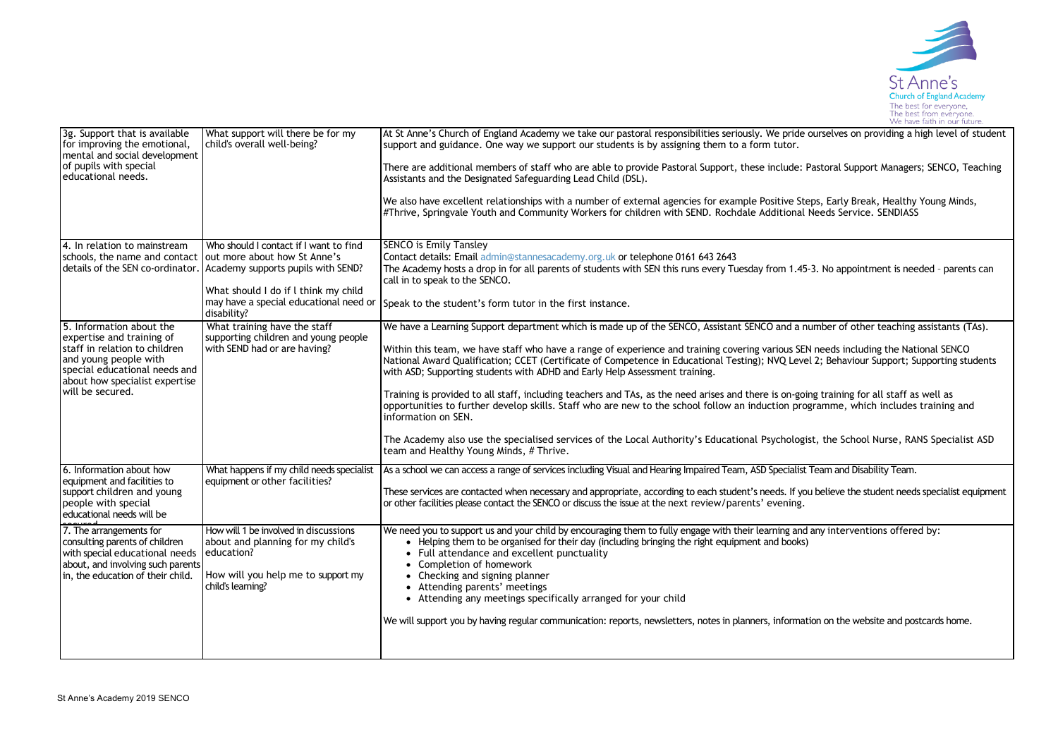

| 3g. Support that is available<br>for improving the emotional,<br>mental and social development<br>of pupils with special<br>educational needs.                        | What support will there be for my<br>child's overall well-being?                                                                                    | At St Anne's Church of England Academy we take our pastoral responsibilities seriously. We pride ourselves on providing a high level of student<br>support and guidance. One way we support our students is by assigning them to a form tutor.<br>There are additional members of staff who are able to provide Pastoral Support, these include: Pastoral Support Managers; SENCO, Teaching<br>Assistants and the Designated Safeguarding Lead Child (DSL).<br>We also have excellent relationships with a number of external agencies for example Positive Steps, Early Break, Healthy Young Minds,<br>#Thrive, Springvale Youth and Community Workers for children with SEND. Rochdale Additional Needs Service. SENDIASS |
|-----------------------------------------------------------------------------------------------------------------------------------------------------------------------|-----------------------------------------------------------------------------------------------------------------------------------------------------|-----------------------------------------------------------------------------------------------------------------------------------------------------------------------------------------------------------------------------------------------------------------------------------------------------------------------------------------------------------------------------------------------------------------------------------------------------------------------------------------------------------------------------------------------------------------------------------------------------------------------------------------------------------------------------------------------------------------------------|
| 4. In relation to mainstream                                                                                                                                          | Who should I contact if I want to find                                                                                                              | <b>SENCO is Emily Tansley</b>                                                                                                                                                                                                                                                                                                                                                                                                                                                                                                                                                                                                                                                                                               |
| schools, the name and contact out more about how St Anne's                                                                                                            | details of the SEN co-ordinator. Academy supports pupils with SEND?                                                                                 | Contact details: Email admin@stannesacademy.org.uk or telephone 0161 643 2643<br>The Academy hosts a drop in for all parents of students with SEN this runs every Tuesday from 1.45-3. No appointment is needed - parents can<br>call in to speak to the SENCO.                                                                                                                                                                                                                                                                                                                                                                                                                                                             |
|                                                                                                                                                                       | What should I do if I think my child<br>may have a special educational need or<br>disability?                                                       | Speak to the student's form tutor in the first instance.                                                                                                                                                                                                                                                                                                                                                                                                                                                                                                                                                                                                                                                                    |
| 5. Information about the                                                                                                                                              | What training have the staff                                                                                                                        | We have a Learning Support department which is made up of the SENCO, Assistant SENCO and a number of other teaching assistants (TAs).                                                                                                                                                                                                                                                                                                                                                                                                                                                                                                                                                                                       |
| expertise and training of<br>staff in relation to children<br>and young people with<br>special educational needs and<br>about how specialist expertise                | supporting children and young people<br>with SEND had or are having?                                                                                | Within this team, we have staff who have a range of experience and training covering various SEN needs including the National SENCO<br>National Award Qualification; CCET (Certificate of Competence in Educational Testing); NVQ Level 2; Behaviour Support; Supporting students<br>with ASD; Supporting students with ADHD and Early Help Assessment training.                                                                                                                                                                                                                                                                                                                                                            |
| will be secured.                                                                                                                                                      |                                                                                                                                                     | Training is provided to all staff, including teachers and TAs, as the need arises and there is on-going training for all staff as well as<br>opportunities to further develop skills. Staff who are new to the school follow an induction programme, which includes training and<br>information on SEN.                                                                                                                                                                                                                                                                                                                                                                                                                     |
|                                                                                                                                                                       |                                                                                                                                                     | The Academy also use the specialised services of the Local Authority's Educational Psychologist, the School Nurse, RANS Specialist ASD<br>team and Healthy Young Minds, # Thrive.                                                                                                                                                                                                                                                                                                                                                                                                                                                                                                                                           |
| 6. Information about how                                                                                                                                              | What happens if my child needs specialist                                                                                                           | As a school we can access a range of services including Visual and Hearing Impaired Team, ASD Specialist Team and Disability Team.                                                                                                                                                                                                                                                                                                                                                                                                                                                                                                                                                                                          |
| equipment and facilities to<br>support children and young<br>people with special<br>educational needs will be                                                         | equipment or other facilities?                                                                                                                      | These services are contacted when necessary and appropriate, according to each student's needs. If you believe the student needs specialist equipment<br>or other facilities please contact the SENCO or discuss the issue at the next review/parents' evening.                                                                                                                                                                                                                                                                                                                                                                                                                                                             |
| 7. The arrangements for<br>consulting parents of children<br>with special educational needs<br>about, and involving such parents<br>in, the education of their child. | How will 1 be involved in discussions<br>about and planning for my child's<br>education?<br>How will you help me to support my<br>child's learning? | We need you to support us and your child by encouraging them to fully engage with their learning and any interventions offered by:<br>• Helping them to be organised for their day (including bringing the right equipment and books)<br>• Full attendance and excellent punctuality<br>• Completion of homework<br>• Checking and signing planner<br>• Attending parents' meetings<br>• Attending any meetings specifically arranged for your child<br>We will support you by having regular communication: reports, newsletters, notes in planners, information on the website and postcards home.                                                                                                                        |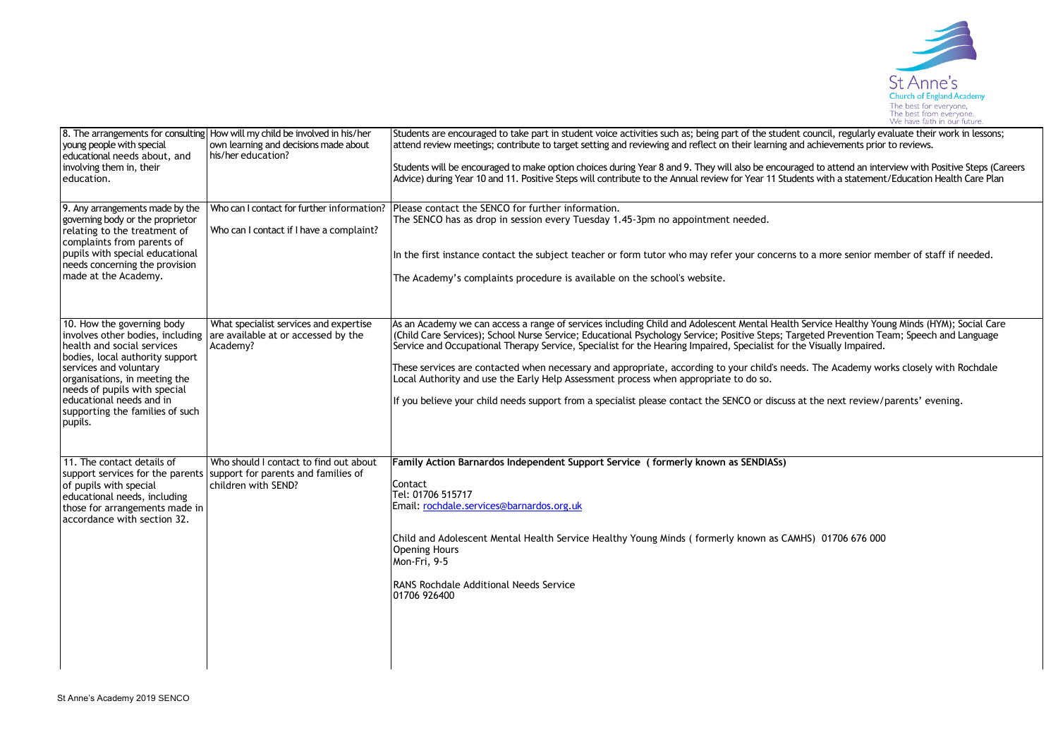

| young people with special<br>educational needs about, and<br>involving them in, their<br>education.                                                                                                                                                              | 8. The arrangements for consulting How will my child be involved in his/her<br>own learning and decisions made about<br>his/her education? | Students are encouraged to take part in student voice activities such as; being part of the student council, regularly evaluate their work in lessons;<br>attend review meetings; contribute to target setting and reviewing and reflect on their learning and achievements prior to reviews.<br>Students will be encouraged to make option choices during Year 8 and 9. They will also be encouraged to attend an interview with Positive Steps (Careers<br>Advice) during Year 10 and 11. Positive Steps will contribute to the Annual review for Year 11 Students with a statement/Education Health Care Plan                                                                                                                                                                         |
|------------------------------------------------------------------------------------------------------------------------------------------------------------------------------------------------------------------------------------------------------------------|--------------------------------------------------------------------------------------------------------------------------------------------|------------------------------------------------------------------------------------------------------------------------------------------------------------------------------------------------------------------------------------------------------------------------------------------------------------------------------------------------------------------------------------------------------------------------------------------------------------------------------------------------------------------------------------------------------------------------------------------------------------------------------------------------------------------------------------------------------------------------------------------------------------------------------------------|
| 9. Any arrangements made by the<br>governing body or the proprietor<br>relating to the treatment of<br>complaints from parents of<br>pupils with special educational<br>needs concerning the provision<br>made at the Academy.                                   | Who can I contact for further information?<br>Who can I contact if I have a complaint?                                                     | Please contact the SENCO for further information.<br>The SENCO has as drop in session every Tuesday 1.45-3pm no appointment needed.<br>In the first instance contact the subject teacher or form tutor who may refer your concerns to a more senior member of staff if needed.<br>The Academy's complaints procedure is available on the school's website.                                                                                                                                                                                                                                                                                                                                                                                                                               |
| 10. How the governing body<br>health and social services<br>bodies, local authority support<br>services and voluntary<br>organisations, in meeting the<br>needs of pupils with special<br>educational needs and in<br>supporting the families of such<br>pupils. | What specialist services and expertise<br>involves other bodies, including are available at or accessed by the<br>Academy?                 | As an Academy we can access a range of services including Child and Adolescent Mental Health Service Healthy Young Minds (HYM); Social Care<br>(Child Care Services); School Nurse Service; Educational Psychology Service; Positive Steps; Targeted Prevention Team; Speech and Language<br>Service and Occupational Therapy Service, Specialist for the Hearing Impaired, Specialist for the Visually Impaired.<br>These services are contacted when necessary and appropriate, according to your child's needs. The Academy works closely with Rochdale<br>Local Authority and use the Early Help Assessment process when appropriate to do so.<br>If you believe your child needs support from a specialist please contact the SENCO or discuss at the next review/parents' evening. |
| 11. The contact details of<br>of pupils with special<br>educational needs, including<br>those for arrangements made in<br>accordance with section 32.                                                                                                            | Who should I contact to find out about<br>support services for the parents support for parents and families of<br>children with SEND?      | Family Action Barnardos Independent Support Service (formerly known as SENDIASs)<br>Contact<br>Tel: 01706 515717<br>Email: rochdale.services@barnardos.org.uk<br>Child and Adolescent Mental Health Service Healthy Young Minds (formerly known as CAMHS) 01706 676 000<br><b>Opening Hours</b><br>Mon-Fri, 9-5<br><b>RANS Rochdale Additional Needs Service</b><br>01706 926400                                                                                                                                                                                                                                                                                                                                                                                                         |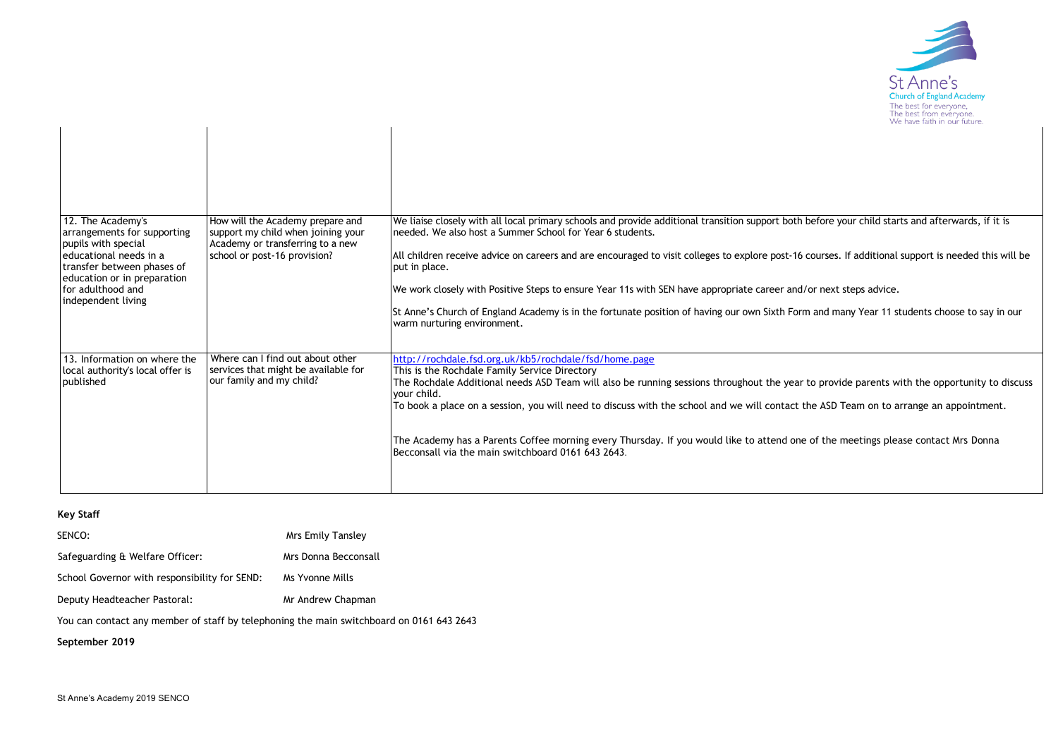

|                                                                                                                                                                                                           |                                                                                                                                            | rve nave lalu i ili odi huture                                                                                                                                                                                                                                                                                                                                                                                                                                                                                                                                                                                                                                                              |
|-----------------------------------------------------------------------------------------------------------------------------------------------------------------------------------------------------------|--------------------------------------------------------------------------------------------------------------------------------------------|---------------------------------------------------------------------------------------------------------------------------------------------------------------------------------------------------------------------------------------------------------------------------------------------------------------------------------------------------------------------------------------------------------------------------------------------------------------------------------------------------------------------------------------------------------------------------------------------------------------------------------------------------------------------------------------------|
|                                                                                                                                                                                                           |                                                                                                                                            |                                                                                                                                                                                                                                                                                                                                                                                                                                                                                                                                                                                                                                                                                             |
| 12. The Academy's<br>arrangements for supporting<br>pupils with special<br>educational needs in a<br>transfer between phases of<br>education or in preparation<br>for adulthood and<br>independent living | How will the Academy prepare and<br>support my child when joining your<br>Academy or transferring to a new<br>school or post-16 provision? | We liaise closely with all local primary schools and provide additional transition support both before your child starts and afterwards, if it is<br>needed. We also host a Summer School for Year 6 students.<br>All children receive advice on careers and are encouraged to visit colleges to explore post-16 courses. If additional support is needed this will be<br>put in place.<br>We work closely with Positive Steps to ensure Year 11s with SEN have appropriate career and/or next steps advice.<br>St Anne's Church of England Academy is in the fortunate position of having our own Sixth Form and many Year 11 students choose to say in our<br>warm nurturing environment. |
| 13. Information on where the<br>local authority's local offer is<br>published                                                                                                                             | Where can I find out about other<br>services that might be available for<br>our family and my child?                                       | http://rochdale.fsd.org.uk/kb5/rochdale/fsd/home.page<br>This is the Rochdale Family Service Directory<br>The Rochdale Additional needs ASD Team will also be running sessions throughout the year to provide parents with the opportunity to discuss<br>vour child.<br>To book a place on a session, you will need to discuss with the school and we will contact the ASD Team on to arrange an appointment.<br>The Academy has a Parents Coffee morning every Thursday. If you would like to attend one of the meetings please contact Mrs Donna<br>Becconsall via the main switchboard 0161 643 2643.                                                                                    |

## **Key Staff**

| SENCO:                                        | Mrs Emily Tansley    |
|-----------------------------------------------|----------------------|
| Safeguarding & Welfare Officer:               | Mrs Donna Becconsall |
| School Governor with responsibility for SEND: | Ms Yvonne Mills      |

Deputy Headteacher Pastoral: Mr Andrew Chapman

You can contact any member of staff by telephoning the main switchboard on 0161 643 2643

## **September 2019**